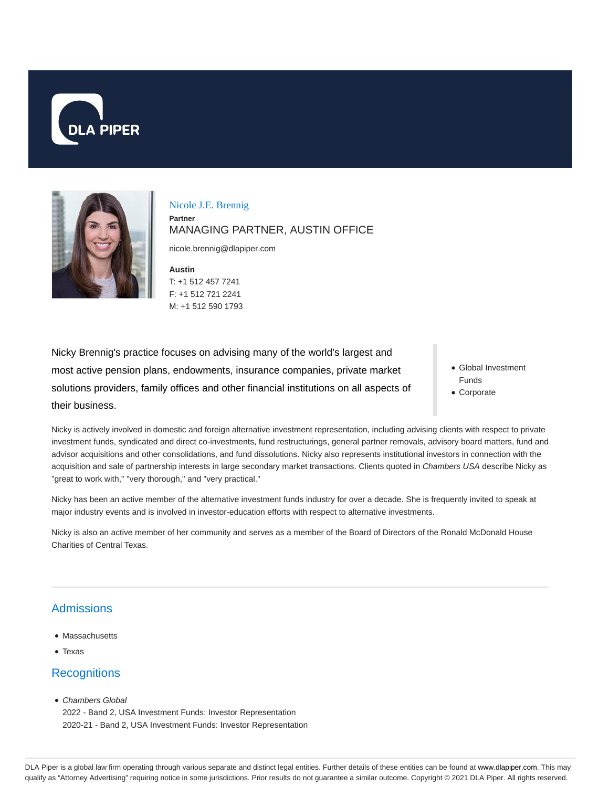



Nicole J.E. Brennig **Partner** MANAGING PARTNER, AUSTIN OFFICE

nicole.brennig@dlapiper.com

**Austin** T: +1 512 457 7241 F: +1 512 721 2241 M: +1 512 590 1793

Nicky Brennig's practice focuses on advising many of the world's largest and most active pension plans, endowments, insurance companies, private market solutions providers, family offices and other financial institutions on all aspects of their business.

- Global Investment Funds
- Corporate

Nicky is actively involved in domestic and foreign alternative investment representation, including advising clients with respect to private investment funds, syndicated and direct co-investments, fund restructurings, general partner removals, advisory board matters, fund and advisor acquisitions and other consolidations, and fund dissolutions. Nicky also represents institutional investors in connection with the acquisition and sale of partnership interests in large secondary market transactions. Clients quoted in Chambers USA describe Nicky as "great to work with," "very thorough," and "very practical."

Nicky has been an active member of the alternative investment funds industry for over a decade. She is frequently invited to speak at major industry events and is involved in investor-education efforts with respect to alternative investments.

Nicky is also an active member of her community and serves as a member of the Board of Directors of the Ronald McDonald House Charities of Central Texas.

# **Admissions**

- Massachusetts
- Texas

# **Recognitions**

• Chambers Global

2022 - Band 2, USA Investment Funds: Investor Representation 2020-21 - Band 2, USA Investment Funds: Investor Representation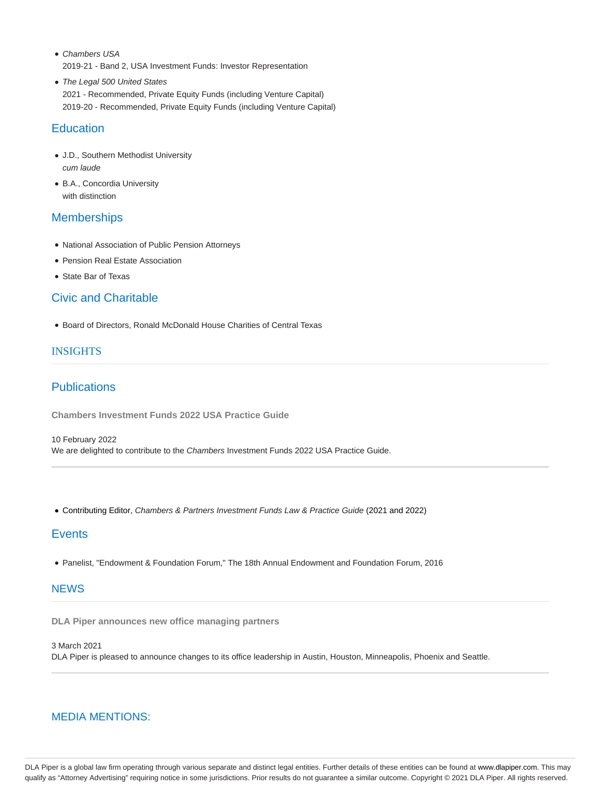- Chambers USA 2019-21 - Band 2, USA Investment Funds: Investor Representation
- The Legal 500 United States 2021 - Recommended, Private Equity Funds (including Venture Capital) 2019-20 - Recommended, Private Equity Funds (including Venture Capital)

# **Education**

- J.D., Southern Methodist University cum laude
- B.A., Concordia University with distinction

# **Memberships**

- National Association of Public Pension Attorneys
- Pension Real Estate Association
- State Bar of Texas

# Civic and Charitable

Board of Directors, Ronald McDonald House Charities of Central Texas

#### INSIGHTS

# **Publications**

**Chambers Investment Funds 2022 USA Practice Guide**

10 February 2022 We are delighted to contribute to the Chambers Investment Funds 2022 USA Practice Guide.

Contributing Editor, Chambers & Partners Investment Funds Law & Practice Guide (2021 and 2022)

### **Events**

Panelist, "Endowment & Foundation Forum," The 18th Annual Endowment and Foundation Forum, 2016

### **NEWS**

**DLA Piper announces new office managing partners**

3 March 2021 DLA Piper is pleased to announce changes to its office leadership in Austin, Houston, Minneapolis, Phoenix and Seattle.

### MEDIA MENTIONS:

DLA Piper is a global law firm operating through various separate and distinct legal entities. Further details of these entities can be found at www.dlapiper.com. This may qualify as "Attorney Advertising" requiring notice in some jurisdictions. Prior results do not guarantee a similar outcome. Copyright © 2021 DLA Piper. All rights reserved.